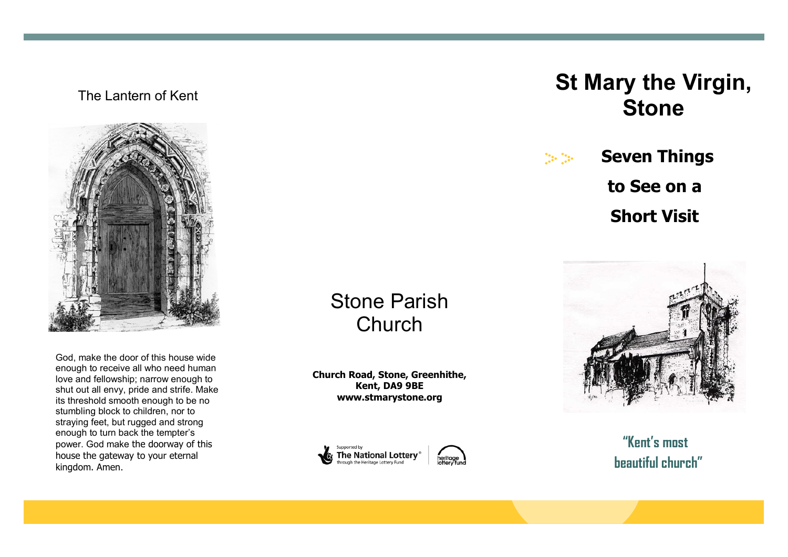## The Lantern of Kent



God, make the door of this house wide enough to receive all who need human love and fellowship; narrow enough to shut out all envy, pride and strife. Make its threshold smooth enough to be no stumbling block to children, nor to straying feet, but rugged and strong enough to turn back the tempter's power. God make the doorway of this house the gateway to your eternal kingdom. Amen.

## Stone Parish **Church**

**Church Road, Stone, Greenhithe, Kent, DA9 9BE www.stmarystone.org**





# **St Mary the Virgin, Stone**

 $\mathcal{C}_{12}$  ,  $\mathcal{C}_{23}$  ,

**Seven Things to See on a Short Visit**



| "Kent's most      |
|-------------------|
| beautiful church" |